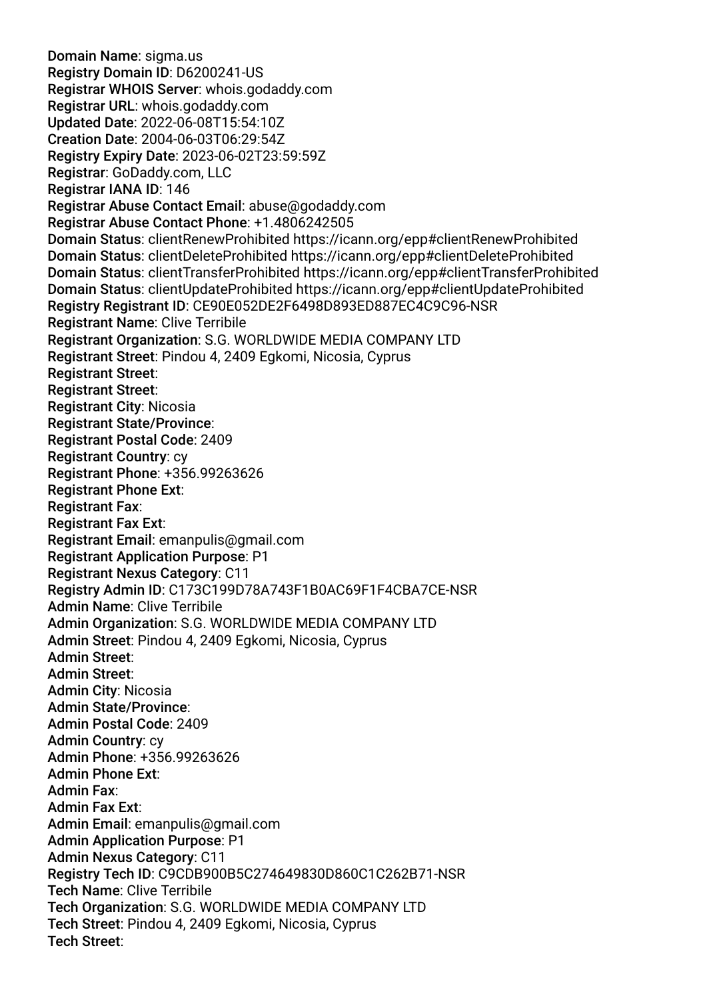Domain Name: sigma.us Registry Domain ID: D6200241-US Registrar WHOIS Server: whois.godaddy.com Registrar URL: whois.godaddy.com Updated Date: 2022-06-08T15:54:10Z Creation Date: 2004-06-03T06:29:54Z Registry Expiry Date: 2023-06-02T23:59:59Z Registrar: GoDaddy.com, LLC Registrar IANA ID: 146 Registrar Abuse Contact Email: abuse@godaddy.com Registrar Abuse Contact Phone: +1.4806242505 Domain Status: clientRenewProhibited https://icann.org/epp#clientRenewProhibited Domain Status: clientDeleteProhibited https://icann.org/epp#clientDeleteProhibited Domain Status: clientTransferProhibited https://icann.org/epp#clientTransferProhibited Domain Status: clientUpdateProhibited https://icann.org/epp#clientUpdateProhibited Registry Registrant ID: CE90E052DE2F6498D893ED887EC4C9C96-NSR Registrant Name: Clive Terribile Registrant Organization: S.G. WORLDWIDE MEDIA COMPANY LTD Registrant Street: Pindou 4, 2409 Egkomi, Nicosia, Cyprus Registrant Street: Registrant Street: Registrant City: Nicosia Registrant State/Province: Registrant Postal Code: 2409 Registrant Country: cy Registrant Phone: +356.99263626 Registrant Phone Ext: Registrant Fax: Registrant Fax Ext: Registrant Email: emanpulis@gmail.com Registrant Application Purpose: P1 Registrant Nexus Category: C11 Registry Admin ID: C173C199D78A743F1B0AC69F1F4CBA7CE-NSR Admin Name: Clive Terribile Admin Organization: S.G. WORLDWIDE MEDIA COMPANY LTD Admin Street: Pindou 4, 2409 Egkomi, Nicosia, Cyprus Admin Street: Admin Street: Admin City: Nicosia Admin State/Province: Admin Postal Code: 2409 Admin Country: cy Admin Phone: +356.99263626 Admin Phone Ext: Admin Fax: Admin Fax Ext: Admin Email: emanpulis@gmail.com Admin Application Purpose: P1 Admin Nexus Category: C11 Registry Tech ID: C9CDB900B5C274649830D860C1C262B71-NSR Tech Name: Clive Terribile Tech Organization: S.G. WORLDWIDE MEDIA COMPANY LTD Tech Street: Pindou 4, 2409 Egkomi, Nicosia, Cyprus Tech Street: